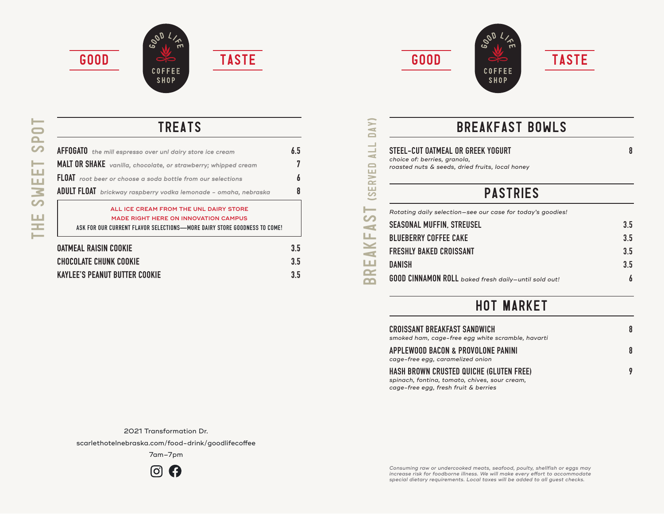







BREAKFAST (SERVED ALL DAY)

**(SERVED** 

DAY)

ALL.



**TREATS** 

| <b>AFFOGATO</b> the mill espresso over unl dairy store ice cream         | 6.5 |
|--------------------------------------------------------------------------|-----|
| MALT OR SHAKE vanilla, chocolate, or strawberry; whipped cream           | 7   |
| FLOAT root beer or choose a soda bottle from our selections              |     |
| ADULT FLOAT brickway raspberry vodka lemonade - omaha, nebraska          | 8   |
| ALL ICE CREAM FROM THE UNL DAIRY STORE                                   |     |
| <b>MADE RIGHT HERE ON INNOVATION CAMPUS</b>                              |     |
| ASK FOR OUR CURRENT FLAVOR SELECTIONS—MORE DAIRY STORE GOODNESS TO COME! |     |
| <b>OATMEAL RAISIN COOKIE</b>                                             | 3.5 |
| <b>CHOCOLATE CHUNK COOKIE</b>                                            | 3.5 |
| <b>KAYLEE'S PEANUT BUTTER COOKIE</b>                                     | 3.5 |

### breakfast Bowls

**STEEL-CUT OATMEAL OR GREEK YOGURT 8**  *choice of: berries, granola, roasted nuts & seeds, dried fruits, local honey*

# **PASTRIES**

|                                   | Rotating daily selection-see our case for today's goodies!  |     |
|-----------------------------------|-------------------------------------------------------------|-----|
| $\bullet$<br>$\blacktriangleleft$ | <b>SEASONAL MUFFIN, STREUSEL</b>                            | 3.5 |
| ш                                 | <b>BLUEBERRY COFFEE CAKE</b>                                | 3.5 |
| X                                 | <b>FRESHLY BAKED CROISSANT</b>                              | 3.5 |
| ш                                 | <b>DANISH</b>                                               | 3.5 |
| <b>R</b>                          | <b>GOOD CINNAMON ROLL</b> baked fresh daily-until sold out! |     |

### hot market

| CROISSANT BREAKFAST SANDWICH<br>smoked ham, cage-free egg white scramble, havarti | 8 |
|-----------------------------------------------------------------------------------|---|
| APPLEWOOD BACON & PROVOLONE PANINI<br>cage-free egg, caramelized onion            |   |
| HASH BROWN CRUSTED QUICHE (GLUTEN FREE)                                           |   |

*spinach, fontina, tomato, chives, sour cream, cage-free egg, fresh fruit & berries*

2021 Transformation Dr.

scarlethotelnebraska.com/food-drink/goodlifecoffee

7am–7pm



*Consuming raw or undercooked meats, seafood, poulty, shellfish or eggs may increase risk for foodborne illness. We will make every effort to accommodate special dietary requirements. Local taxes will be added to all guest checks.*